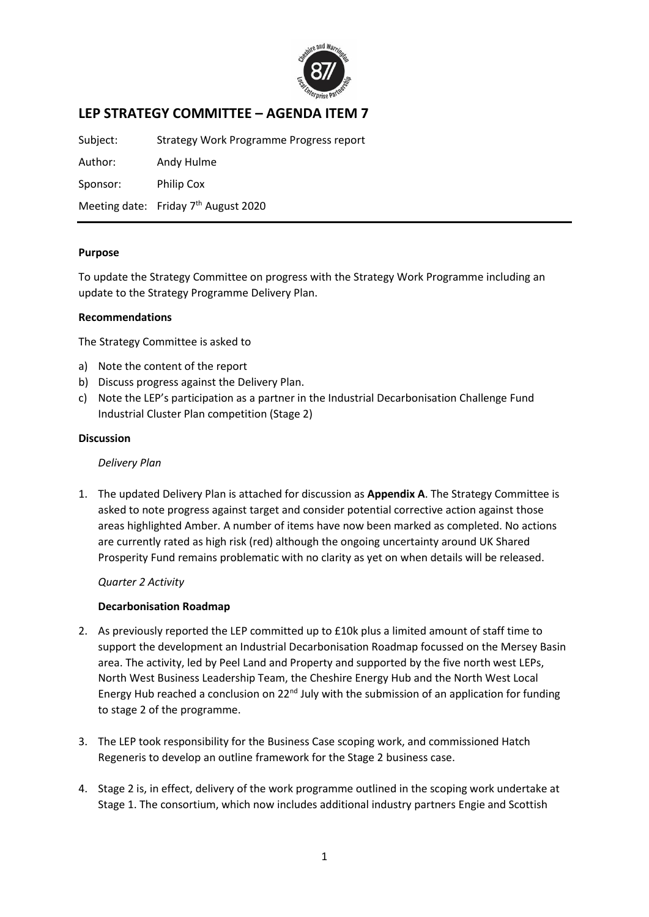

# **LEP STRATEGY COMMITTEE – AGENDA ITEM 7**

Subject: Strategy Work Programme Progress report

Author: Andy Hulme Sponsor: Philip Cox

Meeting date: Friday 7<sup>th</sup> August 2020

# **Purpose**

To update the Strategy Committee on progress with the Strategy Work Programme including an update to the Strategy Programme Delivery Plan.

# **Recommendations**

The Strategy Committee is asked to

- a) Note the content of the report
- b) Discuss progress against the Delivery Plan.
- c) Note the LEP's participation as a partner in the Industrial Decarbonisation Challenge Fund Industrial Cluster Plan competition (Stage 2)

### **Discussion**

*Delivery Plan*

1. The updated Delivery Plan is attached for discussion as **Appendix A**. The Strategy Committee is asked to note progress against target and consider potential corrective action against those areas highlighted Amber. A number of items have now been marked as completed. No actions are currently rated as high risk (red) although the ongoing uncertainty around UK Shared Prosperity Fund remains problematic with no clarity as yet on when details will be released.

*Quarter 2 Activity*

### **Decarbonisation Roadmap**

- 2. As previously reported the LEP committed up to £10k plus a limited amount of staff time to support the development an Industrial Decarbonisation Roadmap focussed on the Mersey Basin area. The activity, led by Peel Land and Property and supported by the five north west LEPs, North West Business Leadership Team, the Cheshire Energy Hub and the North West Local Energy Hub reached a conclusion on 22<sup>nd</sup> July with the submission of an application for funding to stage 2 of the programme.
- 3. The LEP took responsibility for the Business Case scoping work, and commissioned Hatch Regeneris to develop an outline framework for the Stage 2 business case.
- 4. Stage 2 is, in effect, delivery of the work programme outlined in the scoping work undertake at Stage 1. The consortium, which now includes additional industry partners Engie and Scottish